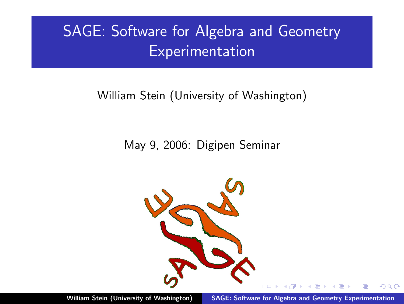# SAGE: Software for Algebra and Geometry Experimentation

## William Stein (University of Washington)

#### May 9, 2006: Digipen Seminar

<span id="page-0-0"></span>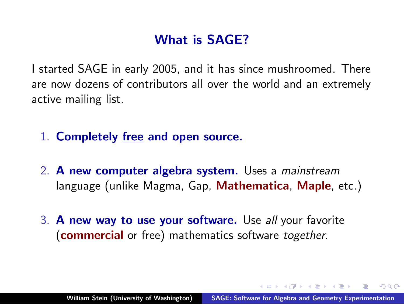# What is SAGE?

I started SAGE in early 2005, and it has since mushroomed. There are now dozens of contributors all over the world and an extremely active mailing list.

- 1. Completely free and open source.
- 2. A new computer algebra system. Uses a mainstream language (unlike Magma, Gap, Mathematica, Maple, etc.)
- 3. A new way to use your software. Use all your favorite (**commercial** or free) mathematics software together.

A + + = + + = +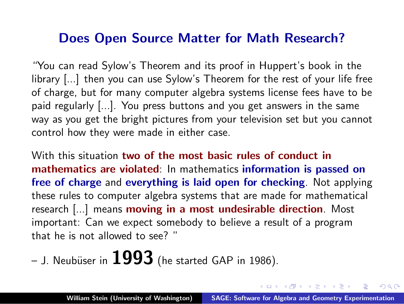#### Does Open Source Matter for Math Research?

"You can read Sylow's Theorem and its proof in Huppert's book in the library [...] then you can use Sylow's Theorem for the rest of your life free of charge, but for many computer algebra systems license fees have to be paid regularly [...]. You press buttons and you get answers in the same way as you get the bright pictures from your television set but you cannot control how they were made in either case.

With this situation two of the most basic rules of conduct in mathematics are violated: In mathematics information is passed on free of charge and everything is laid open for checking. Not applying these rules to computer algebra systems that are made for mathematical research [...] means moving in a most undesirable direction. Most important: Can we expect somebody to believe a result of a program that he is not allowed to see? "

– J. Neubüser in  $1993$  (he started GAP in 1986).

- オート オート オート

 $\Omega$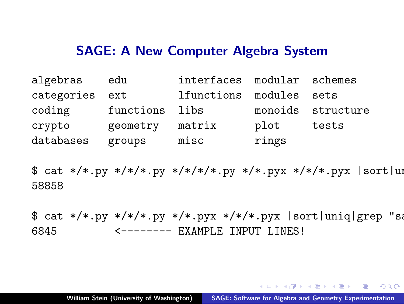#### SAGE: A New Computer Algebra System

| algebras       | edu            | interfaces modular schemes |       |                   |
|----------------|----------------|----------------------------|-------|-------------------|
| categories ext |                | lfunctions modules sets    |       |                   |
| coding         | functions libs |                            |       | monoids structure |
| crypto         | geometry       | matrix                     | plot  | tests             |
| databases      | groups         | misc                       | rings |                   |

 $$ cat$  \*/\*.py \*/\*/\*.py \*/\*/\*/\*.py \*/\*.pyx \*/\*/\*.pyx |sort|uni 58858

 $$ cat$  \*/\*.py \*/\*/\*.py \*/\*.pyx \*/\*/\*.pyx |sort|uniq|grep "sage: 6845 <-------- EXAMPLE INPUT LINES!

<span id="page-3-0"></span>→ 伊 → → ミ → → ミ → ニ → ラ Q Q →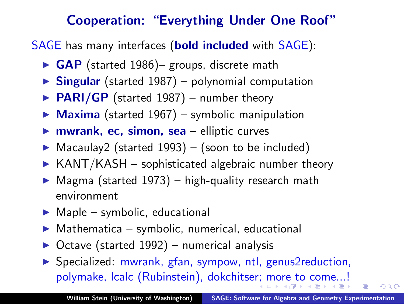## Cooperation: "Everything Under One Roof"

SAGE has many interfaces (**bold included** with SAGE):

- $\triangleright$  GAP (started 1986)– groups, discrete math
- $\triangleright$  Singular (started 1987) polynomial computation
- $\triangleright$  PARI/GP (started 1987) number theory
- $\triangleright$  Maxima (started 1967) symbolic manipulation
- $\triangleright$  mwrank, ec, simon, sea elliptic curves
- $\triangleright$  Macaulay2 (started 1993) (soon to be included)
- $\triangleright$  KANT/KASH sophisticated algebraic number theory
- $\triangleright$  Magma (started 1973) high-quality research math environment
- $\blacktriangleright$  Maple symbolic, educational
- $Mathematica symbolic, numerical, educational$
- Octave (started 1992) numerical analysis
- ▶ Specialized: mwrank, gfan, sympow, ntl, genus2reduction, polymake, lcalc (Rubinstein), dokchitse[r;](#page-3-0) [mo](#page-5-0)[r](#page-3-0)[e t](#page-4-0)[o](#page-5-0) [c](#page-0-0)[om](#page-14-0)[e..](#page-0-0)[.!](#page-14-0)

<span id="page-4-0"></span> $\Omega$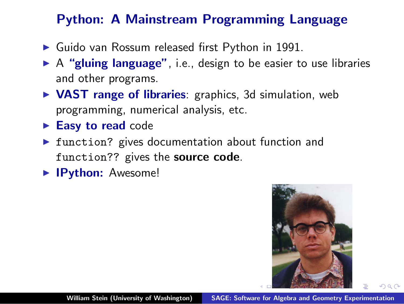# Python: A Mainstream Programming Language

- $\blacktriangleright$  Guido van Rossum released first Python in 1991.
- $\triangleright$  A "gluing language", i.e., design to be easier to use libraries and other programs.
- $\triangleright$  VAST range of libraries: graphics, 3d simulation, web programming, numerical analysis, etc.
- $\blacktriangleright$  Easy to read code
- $\triangleright$  function? gives documentation about function and function?? gives the source code.
- **IPython:** Awesome!

<span id="page-5-0"></span>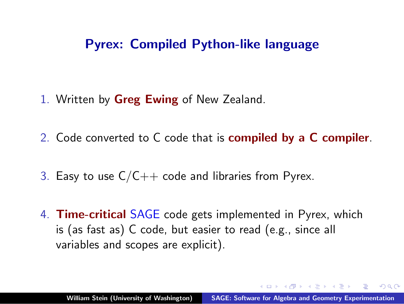## Pyrex: Compiled Python-like language

- 1. Written by **Greg Ewing** of New Zealand.
- 2. Code converted to C code that is compiled by a C compiler.
- 3. Easy to use  $C/C++$  code and libraries from Pyrex.
- 4. Time-critical SAGE code gets implemented in Pyrex, which is (as fast as) C code, but easier to read (e.g., since all variables and scopes are explicit).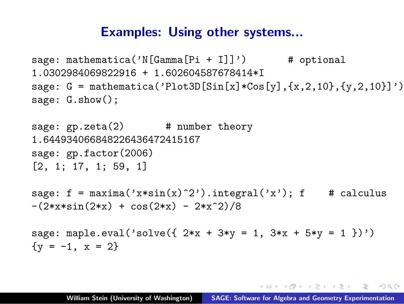#### Examples: Using other systems...

```
sage: mathematica('N[Gamma[Pi + I]]') \qquad # optional
1.0302984069822916 + 1.602604587678414*I
sage: G = \text{mathematica('Plot3D[Sin[x]*Cos[y], {x, 2, 10}, {y, 2, 10}]')sage: G.show();
```

```
sage: gp. zeta(2) # number theory
1.644934066848226436472415167
sage: gp.factor(2006)
[2, 1; 17, 1; 59, 1]
sage: f = maxima('x*sin(x)^2').integral('x'); f # calculus
-(2*x*sin(2*x) + cos(2*x) - 2*x^2)/8sage: maple.eval('solve({ 2*x + 3*y = 1, 3*x + 5*y = 1 })')
```

```
\{y = -1, x = 2\}
```
K ロ ▶ K @ ▶ K 로 ▶ K 로 ▶ 『 코 │ ◆ 9 Q (^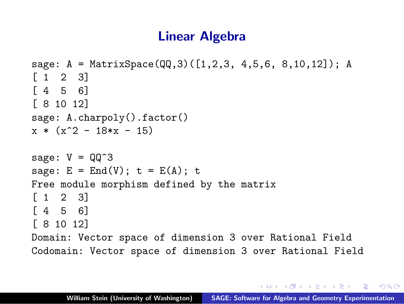## Linear Algebra

```
sage: A = MatrixSpace(QQ,3)([1,2,3, 4,5,6, 8,10,12]); A
\begin{bmatrix} 1 & 2 & 3 \end{bmatrix}[4, 5, 6][ 8 10 12]
sage: A.charpoly().factor()
x * (x^2 - 18*x - 15)sage: V = QQ^3sage: E = End(V); t = E(A); t
Free module morphism defined by the matrix
\begin{bmatrix} 1 & 2 & 3 \end{bmatrix}[4 \ 5 \ 6][ 8 10 12]
Domain: Vector space of dimension 3 over Rational Field
Codomain: Vector space of dimension 3 over Rational Field
```
マイ アンドラ エンド・エンジン こうしょう こうしょう こうしょう

 $\Omega$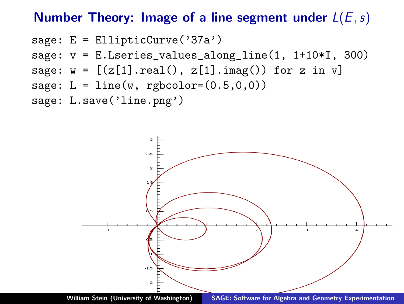#### Number Theory: Image of a line segment under  $L(E, s)$

```
sage: E = EllipticCurve('37a')
sage: v = E.Lseries_values_along(line(1, 1+10*I, 300)sage: w = [(z[1].real(), z[1].imag()) for z in v]
sage: L = line(w,</sub> <math>rgbcolor=(0.5,0,0))sage: L.save('line.png')
```


William Stein (University of Washington) [SAGE: Software for Algebra and Geometry Experimentation](#page-0-0)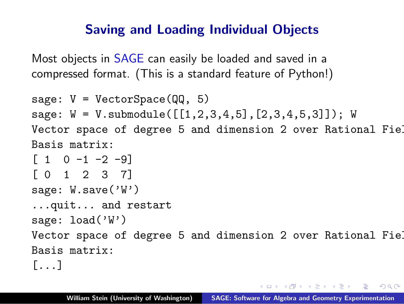# Saving and Loading Individual Objects

Most objects in SAGE can easily be loaded and saved in a compressed format. (This is a standard feature of Python!)

```
sage: V = VectorSpace(QQ, 5)
sage: W = V.submodule([[1,2,3,4,5],[2,3,4,5,3]]); W
Vector space of degree 5 and dimension 2 over Rational Fiel
Basis matrix:
\begin{bmatrix} 1 & 0 & -1 & -2 & -9 \end{bmatrix}[ 0 1 2 3 7]
sage: W.save('W')
...quit... and restart
sage: load('W')Vector space of degree 5 and dimension 2 over Rational Fiel
Basis matrix:
[...]
```
 $\mathcal{A} \oplus \mathcal{A} \oplus \mathcal{A} \oplus \mathcal{A} \oplus \mathcal{A} \oplus \mathcal{A} \oplus \mathcal{A} \oplus \mathcal{A}$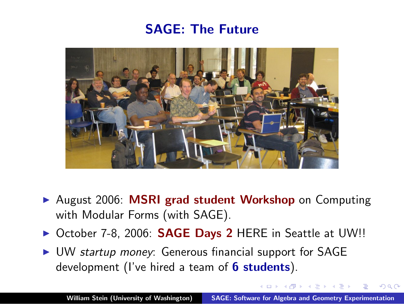## SAGE: The Future



- ▶ August 2006: MSRI grad student Workshop on Computing with Modular Forms (with SAGE).
- ▶ October 7-8, 2006: **SAGE Days 2** HERE in Seattle at UW!!
- ► UW startup money: Generous financial support for SAGE development (I've hired a team of **6 students**).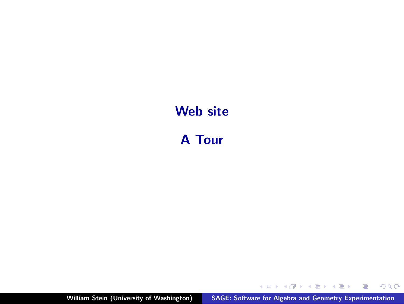# Web site

A Tour

William Stein (University of Washington) [SAGE: Software for Algebra and Geometry Experimentation](#page-0-0)

メロメ メ都 メメ きょくきょう

È

 $299$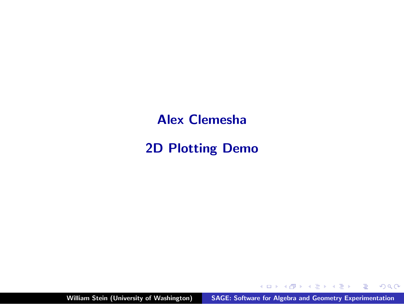Alex Clemesha

2D Plotting Demo

William Stein (University of Washington) [SAGE: Software for Algebra and Geometry Experimentation](#page-0-0)

イロト イ押 トイモト イモト

重

 $299$